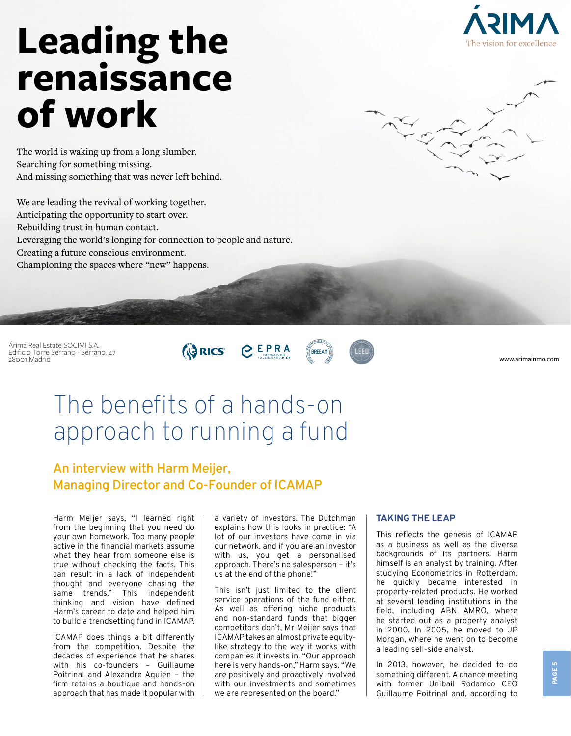

# **Leading the renaissance of work**

The world is waking up from a long slumber. Searching for something missing. And missing something that was never left behind.

We are leading the revival of working together. Anticipating the opportunity to start over. Rebuilding trust in human contact. Leveraging the world's longing for connection to people and nature. Creating a future conscious environment. Championing the spaces where "new" happens.

Árima Real Estate SOCIMI S.A. Edificio Torre Serrano - Serrano, 47 28001 Madrid





www.arimainmo.com

## The benefits of a hands-on approach to running a fund

### **An interview with Harm Meijer, Managing Director and Co-Founder of ICAMAP**

Harm Meijer says, "I learned right from the beginning that you need do your own homework. Too many people active in the financial markets assume what they hear from someone else is true without checking the facts. This can result in a lack of independent thought and everyone chasing the same trends." This independent thinking and vision have defined Harm's career to date and helped him to build a trendsetting fund in ICAMAP.

ICAMAP does things a bit differently from the competition. Despite the decades of experience that he shares with his co-founders – Guillaume Poitrinal and Alexandre Aquien – the firm retains a boutique and hands-on approach that has made it popular with a variety of investors. The Dutchman explains how this looks in practice: "A lot of our investors have come in via our network, and if you are an investor with us, you get a personalised approach. There's no salesperson – it's us at the end of the phone!"

This isn't just limited to the client service operations of the fund either. As well as offering niche products and non-standard funds that bigger competitors don't, Mr Meijer says that ICAMAP takes an almost private equitylike strategy to the way it works with companies it invests in. "Our approach here is very hands-on," Harm says. "We are positively and proactively involved with our investments and sometimes we are represented on the board."

#### **TAKING THE LEAP**

This reflects the genesis of ICAMAP as a business as well as the diverse backgrounds of its partners. Harm himself is an analyst by training. After studying Econometrics in Rotterdam, he quickly became interested in property-related products. He worked at several leading institutions in the field, including ABN AMRO, where he started out as a property analyst in 2000. In 2005, he moved to JP Morgan, where he went on to become a leading sell-side analyst.

In 2013, however, he decided to do something different. A chance meeting with former Unibail Rodamco CEO Guillaume Poitrinal and, according to